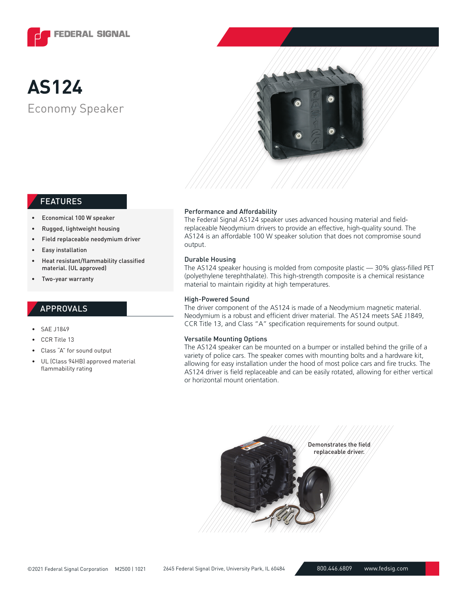

# Economy Speaker **AS124**



# FEATURES

- Economical 100 W speaker
- Rugged, lightweight housing
- Field replaceable neodymium driver
- Easy installation
- Heat resistant/flammability classified material. (UL approved)
- Two-year warranty

## APPROVALS

- SAE J1849
- CCR Title 13
- Class "A" for sound output
- UL (Class 94HB) approved material flammability rating

### Performance and Affordability

The Federal Signal AS124 speaker uses advanced housing material and fieldreplaceable Neodymium drivers to provide an effective, high-quality sound. The AS124 is an affordable 100 W speaker solution that does not compromise sound output.

#### Durable Housing

The AS124 speaker housing is molded from composite plastic — 30% glass-filled PET (polyethylene terephthalate). This high-strength composite is a chemical resistance material to maintain rigidity at high temperatures.

#### High-Powered Sound

The driver component of the AS124 is made of a Neodymium magnetic material. Neodymium is a robust and efficient driver material. The AS124 meets SAE J1849, CCR Title 13, and Class "A" specification requirements for sound output.

#### Versatile Mounting Options

The AS124 speaker can be mounted on a bumper or installed behind the grille of a variety of police cars. The speaker comes with mounting bolts and a hardware kit, allowing for easy installation under the hood of most police cars and fire trucks. The AS124 driver is field replaceable and can be easily rotated, allowing for either vertical or horizontal mount orientation.